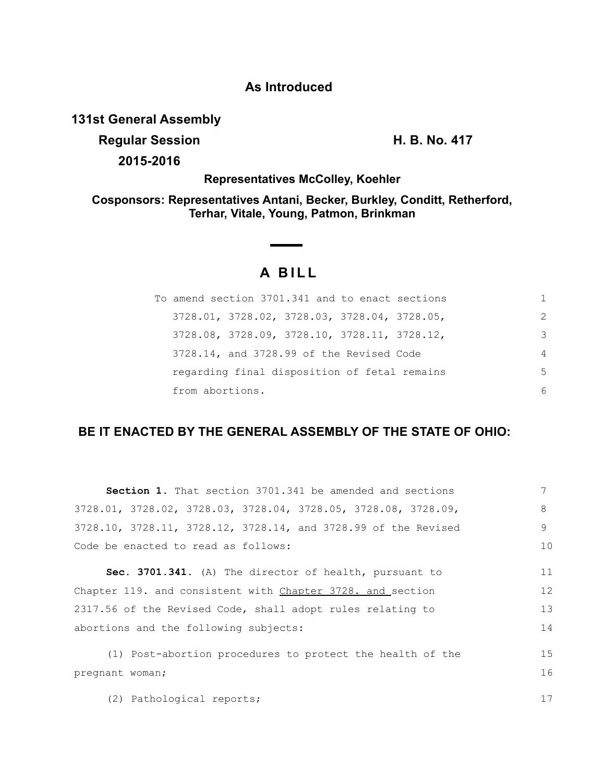## **As Introduced**

**131st General Assembly**

**Regular Session H. B. No. 417**

**2015-2016**

**Representatives McColley, Koehler**

**Cosponsors: Representatives Antani, Becker, Burkley, Conditt, Retherford, Terhar, Vitale, Young, Patmon, Brinkman**

## **A BILL**

<u>and the community</u>

| To amend section 3701.341 and to enact sections |               |
|-------------------------------------------------|---------------|
| $3728.01, 3728.02, 3728.03, 3728.04, 3728.05,$  | $\mathcal{P}$ |
| 3728.08, 3728.09, 3728.10, 3728.11, 3728.12,    | 3             |
| 3728.14, and 3728.99 of the Revised Code        | 4             |
| regarding final disposition of fetal remains    | .5            |
| from abortions.                                 | 6             |

## **BE IT ENACTED BY THE GENERAL ASSEMBLY OF THE STATE OF OHIO:**

| <b>Section 1.</b> That section 3701.341 be amended and sections  | 7  |
|------------------------------------------------------------------|----|
| $3728.01, 3728.02, 3728.03, 3728.04, 3728.05, 3728.08, 3728.09,$ | 8  |
| 3728.10, 3728.11, 3728.12, 3728.14, and 3728.99 of the Revised   | 9  |
| Code be enacted to read as follows:                              | 10 |
| Sec. 3701.341. (A) The director of health, pursuant to           | 11 |
| Chapter 119. and consistent with Chapter 3728. and section       | 12 |
| 2317.56 of the Revised Code, shall adopt rules relating to       | 13 |
| abortions and the following subjects:                            |    |
| (1) Post-abortion procedures to protect the health of the        | 15 |
| pregnant woman;                                                  | 16 |
| (2) Pathological reports;                                        | 17 |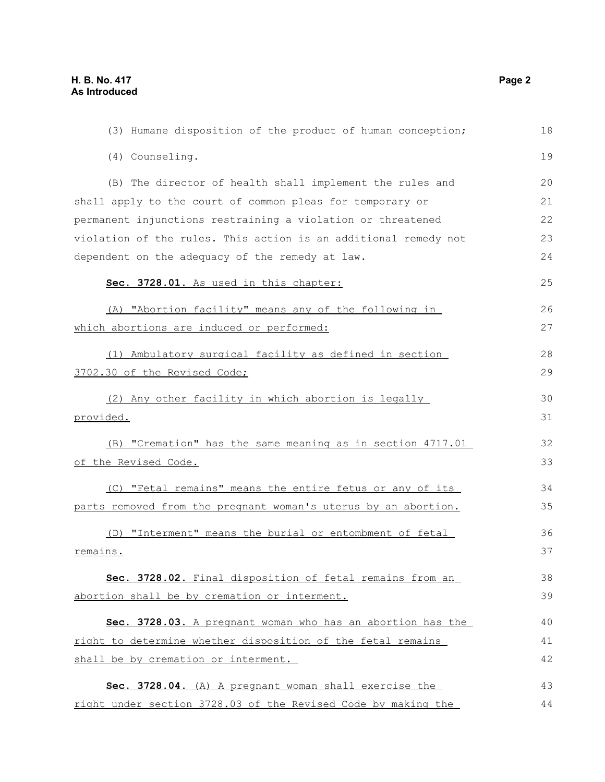| (3) Humane disposition of the product of human conception;      | 18 |
|-----------------------------------------------------------------|----|
| (4) Counseling.                                                 | 19 |
| (B) The director of health shall implement the rules and        | 20 |
| shall apply to the court of common pleas for temporary or       | 21 |
| permanent injunctions restraining a violation or threatened     | 22 |
| violation of the rules. This action is an additional remedy not | 23 |
| dependent on the adequacy of the remedy at law.                 | 24 |
| Sec. 3728.01. As used in this chapter:                          | 25 |
| (A) "Abortion facility" means any of the following in           | 26 |
| which abortions are induced or performed:                       | 27 |
| (1) Ambulatory surgical facility as defined in section          | 28 |
| 3702.30 of the Revised Code;                                    | 29 |
| (2) Any other facility in which abortion is legally             | 30 |
| provided.                                                       | 31 |
| (B) "Cremation" has the same meaning as in section 4717.01      | 32 |
| of the Revised Code.                                            | 33 |
| (C) "Fetal remains" means the entire fetus or any of its        | 34 |
| parts removed from the pregnant woman's uterus by an abortion.  | 35 |
| (D) "Interment" means the burial or entombment of fetal         | 36 |
| remains.                                                        | 37 |
| Sec. 3728.02. Final disposition of fetal remains from an        | 38 |
| abortion shall be by cremation or interment.                    | 39 |
| Sec. 3728.03. A pregnant woman who has an abortion has the      | 40 |
| right to determine whether disposition of the fetal remains     | 41 |
| shall be by cremation or interment.                             | 42 |
| Sec. 3728.04. (A) A pregnant woman shall exercise the           | 43 |
| right under section 3728.03 of the Revised Code by making the   | 44 |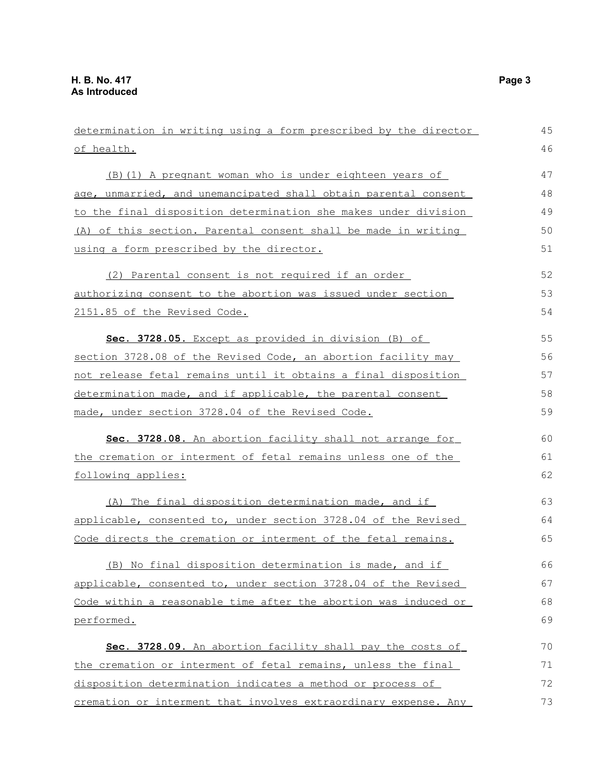| determination in writing using a form prescribed by the director | 45 |
|------------------------------------------------------------------|----|
| of health.                                                       | 46 |
| (B) (1) A pregnant woman who is under eighteen years of          | 47 |
| age, unmarried, and unemancipated shall obtain parental consent  | 48 |
| to the final disposition determination she makes under division  | 49 |
| (A) of this section. Parental consent shall be made in writing   | 50 |
| using a form prescribed by the director.                         | 51 |
| (2) Parental consent is not required if an order                 | 52 |
| authorizing consent to the abortion was issued under section     | 53 |
| 2151.85 of the Revised Code.                                     | 54 |
| Sec. 3728.05. Except as provided in division (B) of              | 55 |
| section 3728.08 of the Revised Code, an abortion facility may    | 56 |
| not release fetal remains until it obtains a final disposition   | 57 |
| determination made, and if applicable, the parental consent      | 58 |
| made, under section 3728.04 of the Revised Code.                 | 59 |
| Sec. 3728.08. An abortion facility shall not arrange for         | 60 |
| the cremation or interment of fetal remains unless one of the    | 61 |
| following applies:                                               | 62 |
| (A) The final disposition determination made, and if             | 63 |
| applicable, consented to, under section 3728.04 of the Revised   | 64 |
| Code directs the cremation or interment of the fetal remains.    | 65 |
| (B) No final disposition determination is made, and if           | 66 |
| applicable, consented to, under section 3728.04 of the Revised   | 67 |
| Code within a reasonable time after the abortion was induced or  | 68 |
| performed.                                                       | 69 |
| Sec. 3728.09. An abortion facility shall pay the costs of        | 70 |
| the cremation or interment of fetal remains, unless the final    | 71 |
| disposition determination indicates a method or process of       | 72 |
| cremation or interment that involves extraordinary expense. Any  | 73 |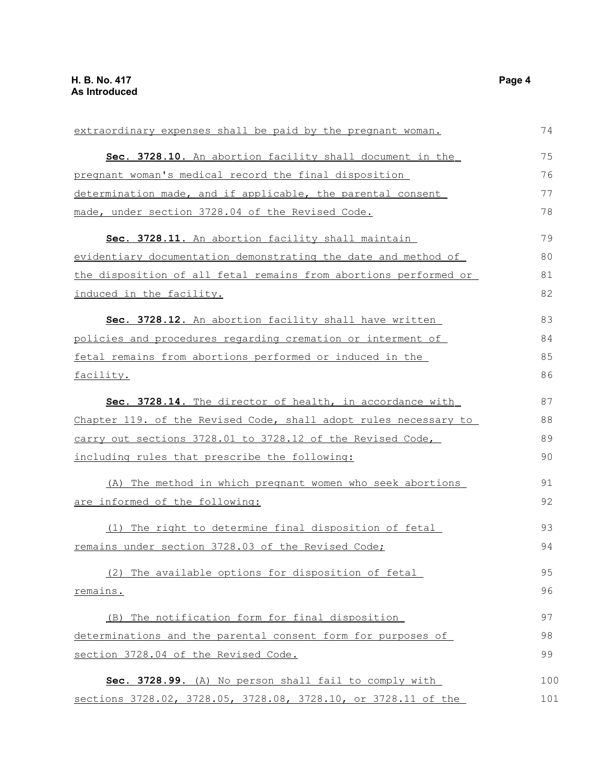| extraordinary expenses shall be paid by the pregnant woman.      | 74  |
|------------------------------------------------------------------|-----|
| Sec. 3728.10. An abortion facility shall document in the         | 75  |
| pregnant woman's medical record the final disposition            | 76  |
| determination made, and if applicable, the parental consent      | 77  |
| made, under section 3728.04 of the Revised Code.                 | 78  |
| Sec. 3728.11. An abortion facility shall maintain                | 79  |
| evidentiary documentation demonstrating the date and method of   | 80  |
| the disposition of all fetal remains from abortions performed or | 81  |
| induced in the facility.                                         | 82  |
| Sec. 3728.12. An abortion facility shall have written            | 83  |
| policies and procedures regarding cremation or interment of      | 84  |
| fetal remains from abortions performed or induced in the         | 85  |
| facility.                                                        | 86  |
| Sec. 3728.14. The director of health, in accordance with         | 87  |
| Chapter 119. of the Revised Code, shall adopt rules necessary to | 88  |
| carry out sections 3728.01 to 3728.12 of the Revised Code,       | 89  |
| including rules that prescribe the following:                    | 90  |
| (A) The method in which pregnant women who seek abortions        | 91  |
| are informed of the following:                                   | 92  |
| (1) The right to determine final disposition of fetal            | 93  |
| remains under section 3728.03 of the Revised Code;               | 94  |
| (2) The available options for disposition of fetal               | 95  |
| remains.                                                         | 96  |
| (B) The notification form for final disposition                  | 97  |
| determinations and the parental consent form for purposes of     | 98  |
| section 3728.04 of the Revised Code.                             | 99  |
| Sec. 3728.99. (A) No person shall fail to comply with            | 100 |
| sections 3728.02, 3728.05, 3728.08, 3728.10, or 3728.11 of the   | 101 |